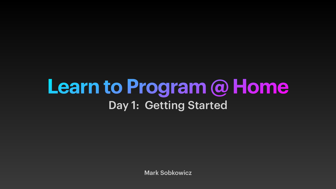# **Learn to Program @ Home** Day 1: Getting Started

Mark Sobkowicz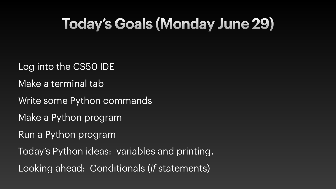# **Today's Goals (Monday June 29)**

Log into the CS50 IDE Make a terminal tab Write some Python commands Make a Python program Run a Python program Today's Python ideas: variables and printing. Looking ahead: Conditionals (*if* statements)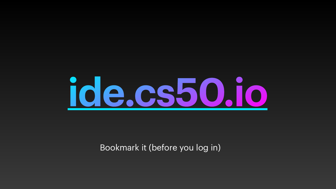

#### Bookmark it (before you log in)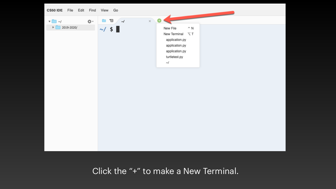

#### Click the "+" to make a New Terminal.

New File  $\mathbin{\char`\^}N$ New Terminal 
V. T application.py application.py application.py turtletest.py  $\sim$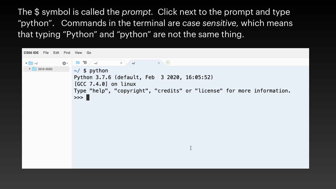## The \$ symbol is called the *prompt*. Click next to the prompt and type "python". Commands in the terminal are *case sensitive*, which means that typing "Python" and "python" are not the same thing.

| CS50 IDE File Edit Find View Go |            |    |    |                                   |                                                                                     |         |  |
|---------------------------------|------------|----|----|-----------------------------------|-------------------------------------------------------------------------------------|---------|--|
| $\Box$ $\sim$ /                 | 2019-2020/ | ☆・ |    | 日<br>$\sim$<br>$\sim$ / \$ python | $\times$                                                                            | $\prec$ |  |
|                                 |            |    | >> |                                   | Python 3.7.6 (default, Feb<br>$[GCC 7.4.0]$ on linux<br>Type "help", "copyright", " |         |  |

 $\times$   $\Theta$ 

3 2020, 16:05:52)

credits" or "license" for more information.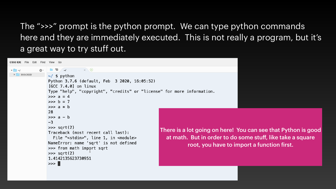#### The ">>>" prompt is the python prompt. We can type python commands here and they are immediately executed. This is not really a program, but it's



a great way to try stuff out.

There is a lot going on here! You can see that Python is good at math. But in order to do some stuff, like take a square root, you have to import a function first.



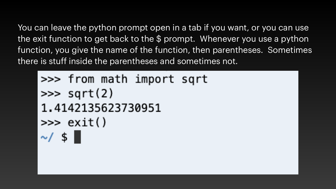You can leave the python prompt open in a tab if you want, or you can use the exit function to get back to the \$ prompt. Whenever you use a python function, you give the name of the function, then parentheses. Sometimes there is stuff inside the parentheses and sometimes not.

## >>> from math import sqrt  $\gg$  sqrt(2) 1.4142135623730951  $\gg$  exit()  $\sim/$  \$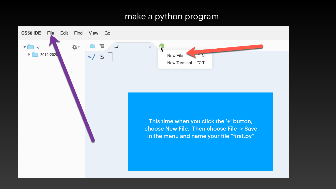#### make a python program

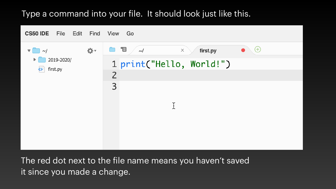### Type a command into your file. It should look just like this.

![](_page_8_Figure_1.jpeg)

The red dot next to the file name means you haven't saved it since you made a change.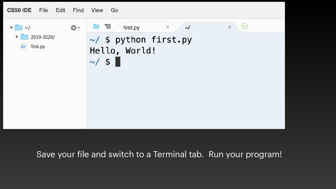![](_page_9_Figure_0.jpeg)

#### Save your file and switch to a Terminal tab. Run your program!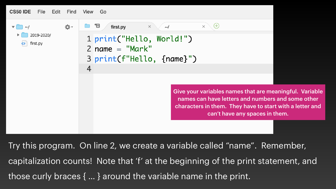![](_page_10_Figure_0.jpeg)

Try this program. On line 2, we create a variable called "name". Remember, capitalization counts! Note that 'f' at the beginning of the print statement, and those curly braces { … } around the variable name in the print.

#### $\times \setminus \oplus$  $\sim$ /

Give your variables names that are meaningful. Variable names can have letters and numbers and some other characters in them. They have to start with a letter and can't have any spaces in them.

![](_page_10_Picture_6.jpeg)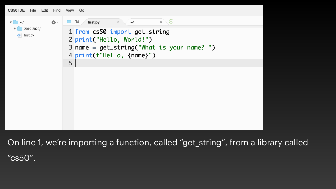### On line 1, we're importing a function, called "get\_string", from a library called

CS50 IDE File Edit Find View Go

| $\sim$ /               | first.py | $\times$<br>$\sim$ /                                                                                               |  |
|------------------------|----------|--------------------------------------------------------------------------------------------------------------------|--|
| 2019-2020/<br>first.py |          | 1 from cs50 import get_str<br>2 print("Hello, World!")<br>$3$ name = get_string("What<br>4 print(f"Hello, {name}") |  |
|                        |          |                                                                                                                    |  |
|                        |          |                                                                                                                    |  |

"cs50".

![](_page_11_Figure_3.jpeg)

#### is your name? ")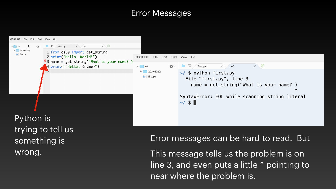#### Error Messages

![](_page_12_Picture_1.jpeg)

trying to tell us something is wrong.

Error messages can be hard to read. But

![](_page_12_Picture_5.jpeg)

This message tells us the problem is on line 3, and even puts a little ^ pointing to near where the problem is.